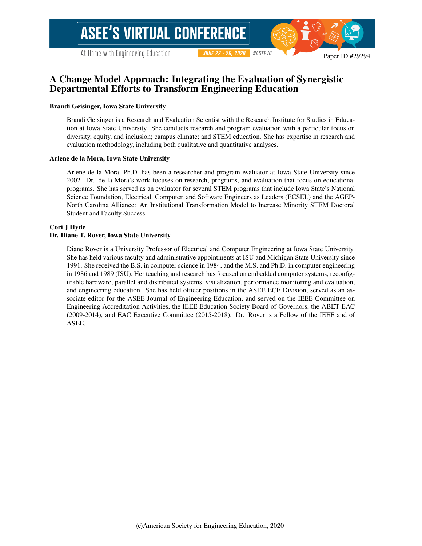# A Change Model Approach: Integrating the Evaluation of Synergistic Departmental Efforts to Transform Engineering Education

### Brandi Geisinger, Iowa State University

Brandi Geisinger is a Research and Evaluation Scientist with the Research Institute for Studies in Education at Iowa State University. She conducts research and program evaluation with a particular focus on diversity, equity, and inclusion; campus climate; and STEM education. She has expertise in research and evaluation methodology, including both qualitative and quantitative analyses.

#### Arlene de la Mora, Iowa State University

Arlene de la Mora, Ph.D. has been a researcher and program evaluator at Iowa State University since 2002. Dr. de la Mora's work focuses on research, programs, and evaluation that focus on educational programs. She has served as an evaluator for several STEM programs that include Iowa State's National Science Foundation, Electrical, Computer, and Software Engineers as Leaders (ECSEL) and the AGEP-North Carolina Alliance: An Institutional Transformation Model to Increase Minority STEM Doctoral Student and Faculty Success.

#### Cori J Hyde

### Dr. Diane T. Rover, Iowa State University

Diane Rover is a University Professor of Electrical and Computer Engineering at Iowa State University. She has held various faculty and administrative appointments at ISU and Michigan State University since 1991. She received the B.S. in computer science in 1984, and the M.S. and Ph.D. in computer engineering in 1986 and 1989 (ISU). Her teaching and research has focused on embedded computer systems, reconfigurable hardware, parallel and distributed systems, visualization, performance monitoring and evaluation, and engineering education. She has held officer positions in the ASEE ECE Division, served as an associate editor for the ASEE Journal of Engineering Education, and served on the IEEE Committee on Engineering Accreditation Activities, the IEEE Education Society Board of Governors, the ABET EAC (2009-2014), and EAC Executive Committee (2015-2018). Dr. Rover is a Fellow of the IEEE and of ASEE.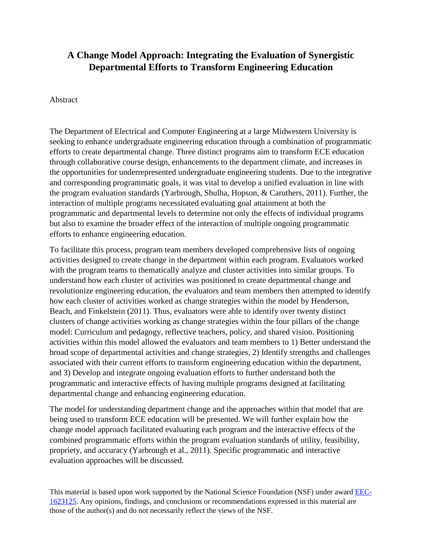# **A Change Model Approach: Integrating the Evaluation of Synergistic Departmental Efforts to Transform Engineering Education**

# Abstract

The Department of Electrical and Computer Engineering at a large Midwestern University is seeking to enhance undergraduate engineering education through a combination of programmatic efforts to create departmental change. Three distinct programs aim to transform ECE education through collaborative course design, enhancements to the department climate, and increases in the opportunities for underrepresented undergraduate engineering students. Due to the integrative and corresponding programmatic goals, it was vital to develop a unified evaluation in line with the program evaluation standards (Yarbrough, Shulha, Hopson, & Caruthers, 2011). Further, the interaction of multiple programs necessitated evaluating goal attainment at both the programmatic and departmental levels to determine not only the effects of individual programs but also to examine the broader effect of the interaction of multiple ongoing programmatic efforts to enhance engineering education.

To facilitate this process, program team members developed comprehensive lists of ongoing activities designed to create change in the department within each program. Evaluators worked with the program teams to thematically analyze and cluster activities into similar groups. To understand how each cluster of activities was positioned to create departmental change and revolutionize engineering education, the evaluators and team members then attempted to identify how each cluster of activities worked as change strategies within the model by Henderson, Beach, and Finkelstein (2011). Thus, evaluators were able to identify over twenty distinct clusters of change activities working as change strategies within the four pillars of the change model: Curriculum and pedagogy, reflective teachers, policy, and shared vision. Positioning activities within this model allowed the evaluators and team members to 1) Better understand the broad scope of departmental activities and change strategies, 2) Identify strengths and challenges associated with their current efforts to transform engineering education within the department, and 3) Develop and integrate ongoing evaluation efforts to further understand both the programmatic and interactive effects of having multiple programs designed at facilitating departmental change and enhancing engineering education.

The model for understanding department change and the approaches within that model that are being used to transform ECE education will be presented. We will further explain how the change model approach facilitated evaluating each program and the interactive effects of the combined programmatic efforts within the program evaluation standards of utility, feasibility, propriety, and accuracy (Yarbrough et al., 2011). Specific programmatic and interactive evaluation approaches will be discussed.

This material is based upon work supported by the National Science Foundation (NSF) under award [EEC-](https://www.nsf.gov/awardsearch/showAward?AWD_ID=1623125)[1623125.](https://www.nsf.gov/awardsearch/showAward?AWD_ID=1623125) Any opinions, findings, and conclusions or recommendations expressed in this material are those of the author(s) and do not necessarily reflect the views of the NSF.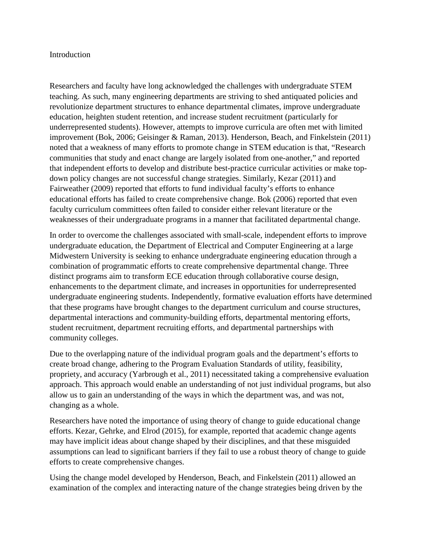# Introduction

Researchers and faculty have long acknowledged the challenges with undergraduate STEM teaching. As such, many engineering departments are striving to shed antiquated policies and revolutionize department structures to enhance departmental climates, improve undergraduate education, heighten student retention, and increase student recruitment (particularly for underrepresented students). However, attempts to improve curricula are often met with limited improvement (Bok, 2006; Geisinger & Raman, 2013). Henderson, Beach, and Finkelstein (2011) noted that a weakness of many efforts to promote change in STEM education is that, "Research communities that study and enact change are largely isolated from one-another," and reported that independent efforts to develop and distribute best-practice curricular activities or make topdown policy changes are not successful change strategies. Similarly, Kezar (2011) and Fairweather (2009) reported that efforts to fund individual faculty's efforts to enhance educational efforts has failed to create comprehensive change. Bok (2006) reported that even faculty curriculum committees often failed to consider either relevant literature or the weaknesses of their undergraduate programs in a manner that facilitated departmental change.

In order to overcome the challenges associated with small-scale, independent efforts to improve undergraduate education, the Department of Electrical and Computer Engineering at a large Midwestern University is seeking to enhance undergraduate engineering education through a combination of programmatic efforts to create comprehensive departmental change. Three distinct programs aim to transform ECE education through collaborative course design, enhancements to the department climate, and increases in opportunities for underrepresented undergraduate engineering students. Independently, formative evaluation efforts have determined that these programs have brought changes to the department curriculum and course structures, departmental interactions and community-building efforts, departmental mentoring efforts, student recruitment, department recruiting efforts, and departmental partnerships with community colleges.

Due to the overlapping nature of the individual program goals and the department's efforts to create broad change, adhering to the Program Evaluation Standards of utility, feasibility, propriety, and accuracy (Yarbrough et al., 2011) necessitated taking a comprehensive evaluation approach. This approach would enable an understanding of not just individual programs, but also allow us to gain an understanding of the ways in which the department was, and was not, changing as a whole.

Researchers have noted the importance of using theory of change to guide educational change efforts. Kezar, Gehrke, and Elrod (2015), for example, reported that academic change agents may have implicit ideas about change shaped by their disciplines, and that these misguided assumptions can lead to significant barriers if they fail to use a robust theory of change to guide efforts to create comprehensive changes.

Using the change model developed by Henderson, Beach, and Finkelstein (2011) allowed an examination of the complex and interacting nature of the change strategies being driven by the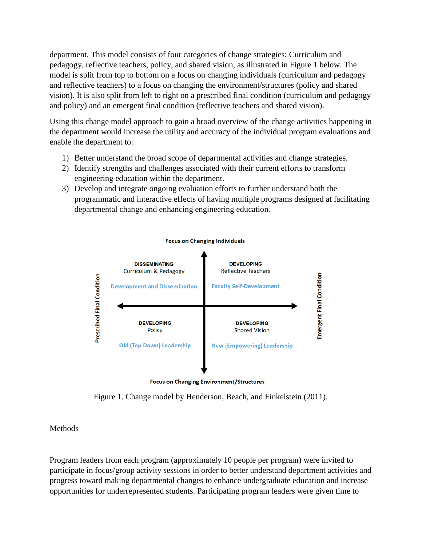department. This model consists of four categories of change strategies: Curriculum and pedagogy, reflective teachers, policy, and shared vision, as illustrated in Figure 1 below. The model is split from top to bottom on a focus on changing individuals (curriculum and pedagogy and reflective teachers) to a focus on changing the environment/structures (policy and shared vision). It is also split from left to right on a prescribed final condition (curriculum and pedagogy and policy) and an emergent final condition (reflective teachers and shared vision).

Using this change model approach to gain a broad overview of the change activities happening in the department would increase the utility and accuracy of the individual program evaluations and enable the department to:

- 1) Better understand the broad scope of departmental activities and change strategies.
- 2) Identify strengths and challenges associated with their current efforts to transform engineering education within the department.
- 3) Develop and integrate ongoing evaluation efforts to further understand both the programmatic and interactive effects of having multiple programs designed at facilitating departmental change and enhancing engineering education.



**Focus on Changing Environment/Structures** 

Figure 1. Change model by Henderson, Beach, and Finkelstein (2011).

# Methods

Program leaders from each program (approximately 10 people per program) were invited to participate in focus/group activity sessions in order to better understand department activities and progress toward making departmental changes to enhance undergraduate education and increase opportunities for underrepresented students. Participating program leaders were given time to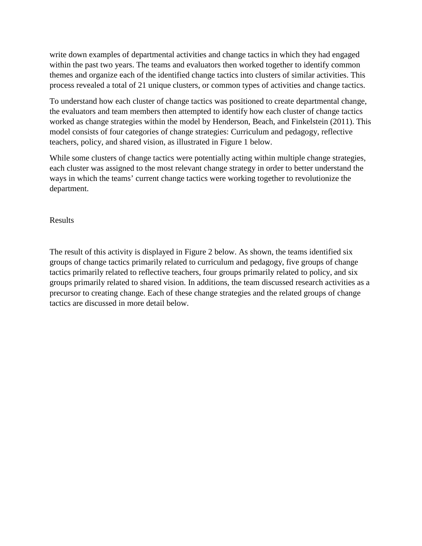write down examples of departmental activities and change tactics in which they had engaged within the past two years. The teams and evaluators then worked together to identify common themes and organize each of the identified change tactics into clusters of similar activities. This process revealed a total of 21 unique clusters, or common types of activities and change tactics.

To understand how each cluster of change tactics was positioned to create departmental change, the evaluators and team members then attempted to identify how each cluster of change tactics worked as change strategies within the model by Henderson, Beach, and Finkelstein (2011). This model consists of four categories of change strategies: Curriculum and pedagogy, reflective teachers, policy, and shared vision, as illustrated in Figure 1 below.

While some clusters of change tactics were potentially acting within multiple change strategies, each cluster was assigned to the most relevant change strategy in order to better understand the ways in which the teams' current change tactics were working together to revolutionize the department.

Results

The result of this activity is displayed in Figure 2 below. As shown, the teams identified six groups of change tactics primarily related to curriculum and pedagogy, five groups of change tactics primarily related to reflective teachers, four groups primarily related to policy, and six groups primarily related to shared vision. In additions, the team discussed research activities as a precursor to creating change. Each of these change strategies and the related groups of change tactics are discussed in more detail below.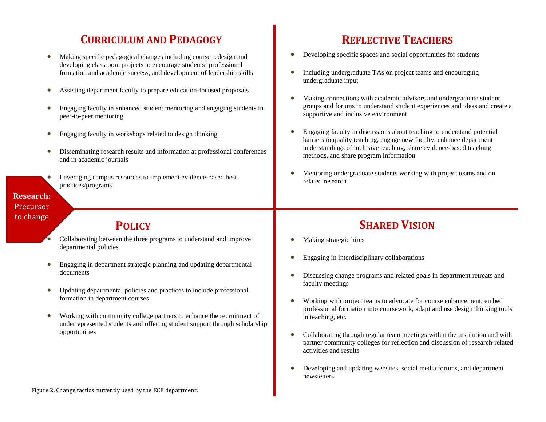# **CURRICULUM AND PEDAGOGY REFLECTIVE TEACHERS**

- Making specific pedagogical changes including course redesign and developing classroom projects to encourage students' professional formation and academic success, and development of leadership skills
- Assisting department faculty to prepare education-focused proposals
- Engaging faculty in enhanced student mentoring and engaging students in peer-to-peer mentoring
- Engaging faculty in workshops related to design thinking
- Disseminating research results and information at professional conferences and in academic journals
- Leveraging campus resources to implement evidence-based best practices/programs

# **Research:**  Precursor to change

- Collaborating between the three programs to understand and improve departmental policies
- Engaging in department strategic planning and updating departmental documents
- Updating departmental policies and practices to include professional formation in department courses
- Working with community college partners to enhance the recruitment of underrepresented students and offering student support through scholarship opportunities

- Developing specific spaces and social opportunities for students
- Including undergraduate TAs on project teams and encouraging undergraduate input
- Making connections with academic advisors and undergraduate student groups and forums to understand student experiences and ideas and create a supportive and inclusive environment
- Engaging faculty in discussions about teaching to understand potential barriers to quality teaching, engage new faculty, enhance department understandings of inclusive teaching, share evidence-based teaching methods, and share program information
- Mentoring undergraduate students working with project teams and on related research

# **POLICY SHARED VISION**

- Making strategic hires
- Engaging in interdisciplinary collaborations
- Discussing change programs and related goals in department retreats and faculty meetings
- Working with project teams to advocate for course enhancement, embed professional formation into coursework, adapt and use design thinking tools in teaching, etc.
- Collaborating through regular team meetings within the institution and with partner community colleges for reflection and discussion of research-related activities and results
- Developing and updating websites, social media forums, and department newsletters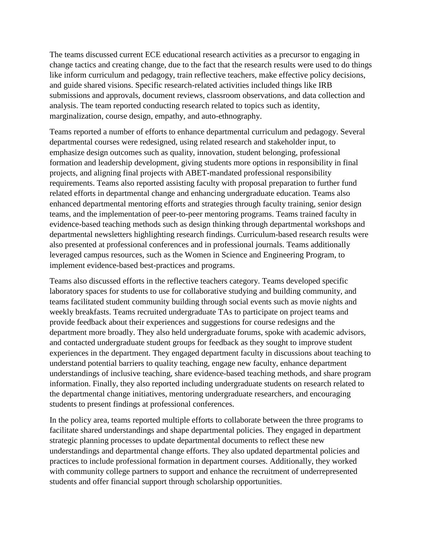The teams discussed current ECE educational research activities as a precursor to engaging in change tactics and creating change, due to the fact that the research results were used to do things like inform curriculum and pedagogy, train reflective teachers, make effective policy decisions, and guide shared visions. Specific research-related activities included things like IRB submissions and approvals, document reviews, classroom observations, and data collection and analysis. The team reported conducting research related to topics such as identity, marginalization, course design, empathy, and auto-ethnography.

Teams reported a number of efforts to enhance departmental curriculum and pedagogy. Several departmental courses were redesigned, using related research and stakeholder input, to emphasize design outcomes such as quality, innovation, student belonging, professional formation and leadership development, giving students more options in responsibility in final projects, and aligning final projects with ABET-mandated professional responsibility requirements. Teams also reported assisting faculty with proposal preparation to further fund related efforts in departmental change and enhancing undergraduate education. Teams also enhanced departmental mentoring efforts and strategies through faculty training, senior design teams, and the implementation of peer-to-peer mentoring programs. Teams trained faculty in evidence-based teaching methods such as design thinking through departmental workshops and departmental newsletters highlighting research findings. Curriculum-based research results were also presented at professional conferences and in professional journals. Teams additionally leveraged campus resources, such as the Women in Science and Engineering Program, to implement evidence-based best-practices and programs.

Teams also discussed efforts in the reflective teachers category. Teams developed specific laboratory spaces for students to use for collaborative studying and building community, and teams facilitated student community building through social events such as movie nights and weekly breakfasts. Teams recruited undergraduate TAs to participate on project teams and provide feedback about their experiences and suggestions for course redesigns and the department more broadly. They also held undergraduate forums, spoke with academic advisors, and contacted undergraduate student groups for feedback as they sought to improve student experiences in the department. They engaged department faculty in discussions about teaching to understand potential barriers to quality teaching, engage new faculty, enhance department understandings of inclusive teaching, share evidence-based teaching methods, and share program information. Finally, they also reported including undergraduate students on research related to the departmental change initiatives, mentoring undergraduate researchers, and encouraging students to present findings at professional conferences.

In the policy area, teams reported multiple efforts to collaborate between the three programs to facilitate shared understandings and shape departmental policies. They engaged in department strategic planning processes to update departmental documents to reflect these new understandings and departmental change efforts. They also updated departmental policies and practices to include professional formation in department courses. Additionally, they worked with community college partners to support and enhance the recruitment of underrepresented students and offer financial support through scholarship opportunities.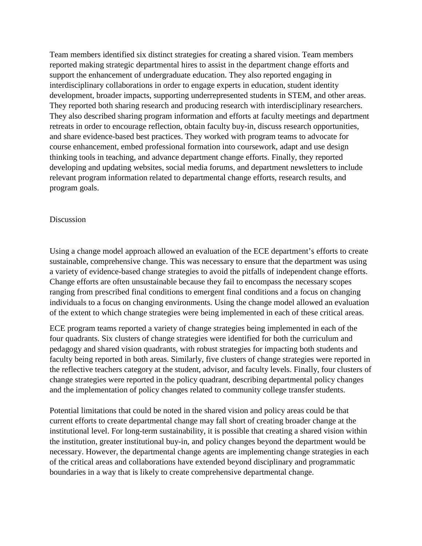Team members identified six distinct strategies for creating a shared vision. Team members reported making strategic departmental hires to assist in the department change efforts and support the enhancement of undergraduate education. They also reported engaging in interdisciplinary collaborations in order to engage experts in education, student identity development, broader impacts, supporting underrepresented students in STEM, and other areas. They reported both sharing research and producing research with interdisciplinary researchers. They also described sharing program information and efforts at faculty meetings and department retreats in order to encourage reflection, obtain faculty buy-in, discuss research opportunities, and share evidence-based best practices. They worked with program teams to advocate for course enhancement, embed professional formation into coursework, adapt and use design thinking tools in teaching, and advance department change efforts. Finally, they reported developing and updating websites, social media forums, and department newsletters to include relevant program information related to departmental change efforts, research results, and program goals.

## Discussion

Using a change model approach allowed an evaluation of the ECE department's efforts to create sustainable, comprehensive change. This was necessary to ensure that the department was using a variety of evidence-based change strategies to avoid the pitfalls of independent change efforts. Change efforts are often unsustainable because they fail to encompass the necessary scopes ranging from prescribed final conditions to emergent final conditions and a focus on changing individuals to a focus on changing environments. Using the change model allowed an evaluation of the extent to which change strategies were being implemented in each of these critical areas.

ECE program teams reported a variety of change strategies being implemented in each of the four quadrants. Six clusters of change strategies were identified for both the curriculum and pedagogy and shared vision quadrants, with robust strategies for impacting both students and faculty being reported in both areas. Similarly, five clusters of change strategies were reported in the reflective teachers category at the student, advisor, and faculty levels. Finally, four clusters of change strategies were reported in the policy quadrant, describing departmental policy changes and the implementation of policy changes related to community college transfer students.

Potential limitations that could be noted in the shared vision and policy areas could be that current efforts to create departmental change may fall short of creating broader change at the institutional level. For long-term sustainability, it is possible that creating a shared vision within the institution, greater institutional buy-in, and policy changes beyond the department would be necessary. However, the departmental change agents are implementing change strategies in each of the critical areas and collaborations have extended beyond disciplinary and programmatic boundaries in a way that is likely to create comprehensive departmental change.